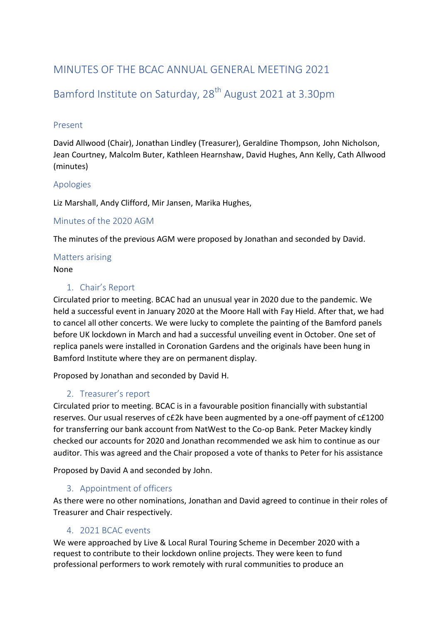## MINUTES OF THE BCAC ANNUAL GENERAL MEETING 2021

# Bamford Institute on Saturday, 28<sup>th</sup> August 2021 at 3.30pm

### Present

David Allwood (Chair), Jonathan Lindley (Treasurer), Geraldine Thompson, John Nicholson, Jean Courtney, Malcolm Buter, Kathleen Hearnshaw, David Hughes, Ann Kelly, Cath Allwood (minutes)

### Apologies

Liz Marshall, Andy Clifford, Mir Jansen, Marika Hughes,

#### Minutes of the 2020 AGM

The minutes of the previous AGM were proposed by Jonathan and seconded by David.

#### Matters arising None

### 1. Chair's Report

Circulated prior to meeting. BCAC had an unusual year in 2020 due to the pandemic. We held a successful event in January 2020 at the Moore Hall with Fay Hield. After that, we had to cancel all other concerts. We were lucky to complete the painting of the Bamford panels before UK lockdown in March and had a successful unveiling event in October. One set of replica panels were installed in Coronation Gardens and the originals have been hung in Bamford Institute where they are on permanent display.

Proposed by Jonathan and seconded by David H.

### 2. Treasurer's report

Circulated prior to meeting. BCAC is in a favourable position financially with substantial reserves. Our usual reserves of c£2k have been augmented by a one-off payment of c£1200 for transferring our bank account from NatWest to the Co-op Bank. Peter Mackey kindly checked our accounts for 2020 and Jonathan recommended we ask him to continue as our auditor. This was agreed and the Chair proposed a vote of thanks to Peter for his assistance

Proposed by David A and seconded by John.

### 3. Appointment of officers

As there were no other nominations, Jonathan and David agreed to continue in their roles of Treasurer and Chair respectively.

### 4. 2021 BCAC events

We were approached by Live & Local Rural Touring Scheme in December 2020 with a request to contribute to their lockdown online projects. They were keen to fund professional performers to work remotely with rural communities to produce an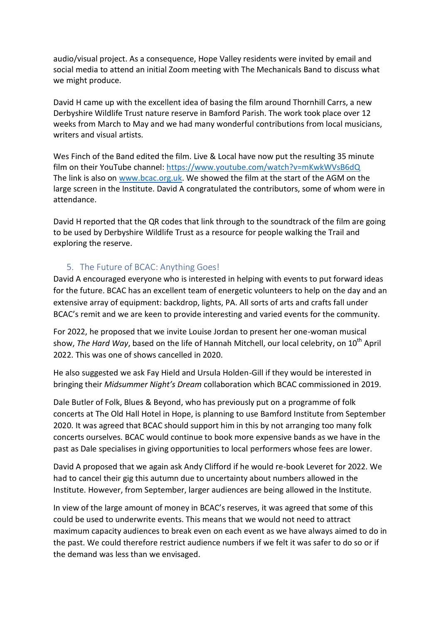audio/visual project. As a consequence, Hope Valley residents were invited by email and social media to attend an initial Zoom meeting with The Mechanicals Band to discuss what we might produce.

David H came up with the excellent idea of basing the film around Thornhill Carrs, a new Derbyshire Wildlife Trust nature reserve in Bamford Parish. The work took place over 12 weeks from March to May and we had many wonderful contributions from local musicians, writers and visual artists.

Wes Finch of the Band edited the film. Live & Local have now put the resulting 35 minute film on their YouTube channel:<https://www.youtube.com/watch?v=mKwkWVsB6dQ> The link is also on [www.bcac.org.uk.](http://www.bcac.org.uk/) We showed the film at the start of the AGM on the large screen in the Institute. David A congratulated the contributors, some of whom were in attendance.

David H reported that the QR codes that link through to the soundtrack of the film are going to be used by Derbyshire Wildlife Trust as a resource for people walking the Trail and exploring the reserve.

### 5. The Future of BCAC: Anything Goes!

David A encouraged everyone who is interested in helping with events to put forward ideas for the future. BCAC has an excellent team of energetic volunteers to help on the day and an extensive array of equipment: backdrop, lights, PA. All sorts of arts and crafts fall under BCAC's remit and we are keen to provide interesting and varied events for the community.

For 2022, he proposed that we invite Louise Jordan to present her one-woman musical show, *The Hard Way*, based on the life of Hannah Mitchell, our local celebrity, on 10<sup>th</sup> April 2022. This was one of shows cancelled in 2020.

He also suggested we ask Fay Hield and Ursula Holden-Gill if they would be interested in bringing their *Midsummer Night's Dream* collaboration which BCAC commissioned in 2019.

Dale Butler of Folk, Blues & Beyond, who has previously put on a programme of folk concerts at The Old Hall Hotel in Hope, is planning to use Bamford Institute from September 2020. It was agreed that BCAC should support him in this by not arranging too many folk concerts ourselves. BCAC would continue to book more expensive bands as we have in the past as Dale specialises in giving opportunities to local performers whose fees are lower.

David A proposed that we again ask Andy Clifford if he would re-book Leveret for 2022. We had to cancel their gig this autumn due to uncertainty about numbers allowed in the Institute. However, from September, larger audiences are being allowed in the Institute.

In view of the large amount of money in BCAC's reserves, it was agreed that some of this could be used to underwrite events. This means that we would not need to attract maximum capacity audiences to break even on each event as we have always aimed to do in the past. We could therefore restrict audience numbers if we felt it was safer to do so or if the demand was less than we envisaged.